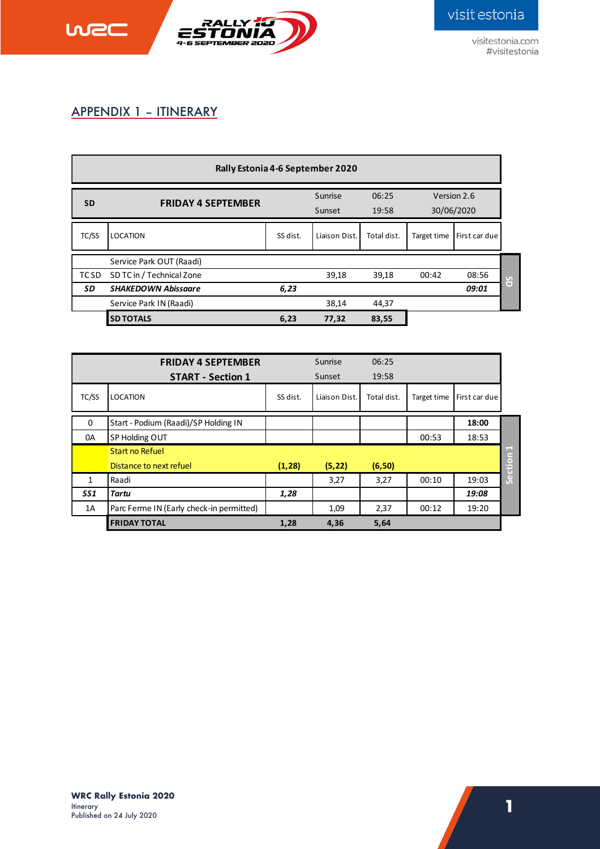

visitestonia.com #visitestonia

## APPENDIX 1 – ITINERARY

wec

| Rally Estonia 4-6 September 2020 |                            |          |                   |                |                           |               |                        |  |
|----------------------------------|----------------------------|----------|-------------------|----------------|---------------------------|---------------|------------------------|--|
| <b>SD</b>                        | <b>FRIDAY 4 SEPTEMBER</b>  |          | Sunrise<br>Sunset | 06:25<br>19:58 | Version 2.6<br>30/06/2020 |               |                        |  |
| TC/SS                            | <b>LOCATION</b>            | SS dist. | Liaison Dist.     | Total dist.    | Target time               | First car due |                        |  |
|                                  | Service Park OUT (Raadi)   |          |                   |                |                           |               |                        |  |
| TC SD                            | SD TC in / Technical Zone  |          | 39,18             | 39,18          | 00:42                     | 08:56         | $\mathcal{F}_{\Omega}$ |  |
| SD                               | <b>SHAKEDOWN Abissaare</b> | 6,23     |                   |                |                           | 09:01         | U                      |  |
|                                  | Service Park IN (Raadi)    |          | 38,14             | 44,37          |                           |               |                        |  |
|                                  | <b>SD TOTALS</b>           | 6,23     | 77,32             | 83,55          |                           |               |                        |  |

|                 | <b>FRIDAY 4 SEPTEMBER</b>                |          | Sunrise       | 06:25       |             |               |                  |
|-----------------|------------------------------------------|----------|---------------|-------------|-------------|---------------|------------------|
|                 | <b>START - Section 1</b>                 |          | Sunset        | 19:58       |             |               |                  |
| TC/SS           | <b>LOCATION</b>                          | SS dist. | Liaison Dist. | Total dist. | Target time | First car due |                  |
| 0               | Start - Podium (Raadi)/SP Holding IN     |          |               |             |             | 18:00         |                  |
| 0A              | SP Holding OUT                           |          |               |             | 00:53       | 18:53         |                  |
|                 | Start no Refuel                          |          |               |             |             |               | <b>COLL</b><br>ā |
|                 | Distance to next refuel                  | (1, 28)  | (5, 22)       | (6, 50)     |             |               |                  |
| 1               | Raadi                                    |          | 3,27          | 3,27        | 00:10       | 19:03         | ه<br>م           |
| SS <sub>1</sub> | Tartu                                    | 1,28     |               |             |             | 19:08         |                  |
| 1A              | Parc Ferme IN (Early check-in permitted) |          | 1,09          | 2,37        | 00:12       | 19:20         |                  |
|                 | <b>FRIDAY TOTAL</b>                      | 1,28     | 4,36          | 5,64        |             |               |                  |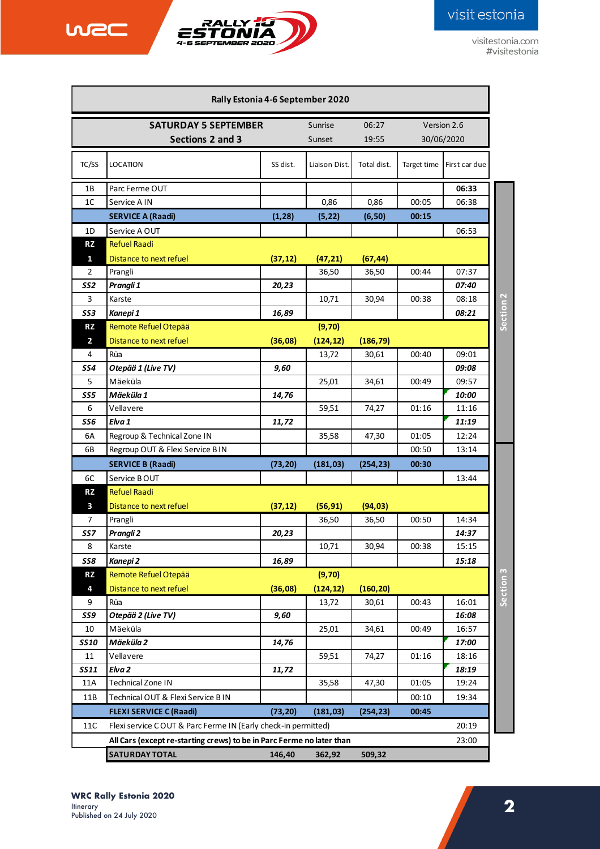

wec

visitestonia.com #visitestonia

| Rally Estonia 4-6 September 2020 |                                                                       |                                                   |               |             |             |               |  |
|----------------------------------|-----------------------------------------------------------------------|---------------------------------------------------|---------------|-------------|-------------|---------------|--|
|                                  | <b>SATURDAY 5 SEPTEMBER</b>                                           |                                                   | Sunrise       | 06:27       |             | Version 2.6   |  |
|                                  |                                                                       |                                                   |               |             |             |               |  |
|                                  |                                                                       | Sunset<br>19:55<br>30/06/2020<br>Sections 2 and 3 |               |             |             |               |  |
| TC/SS                            | <b>LOCATION</b>                                                       | SS dist.                                          | Liaison Dist. | Total dist. | Target time | First car due |  |
| 1Β                               | Parc Ferme OUT                                                        |                                                   |               |             |             | 06:33         |  |
| 1 <sup>C</sup>                   | Service A IN                                                          |                                                   | 0,86          | 0,86        | 00:05       | 06:38         |  |
|                                  | <b>SERVICE A (Raadi)</b>                                              | (1, 28)                                           | (5, 22)       | (6, 50)     | 00:15       |               |  |
| 1D                               | Service A OUT                                                         |                                                   |               |             |             | 06:53         |  |
| <b>RZ</b>                        | <b>Refuel Raadi</b>                                                   |                                                   |               |             |             |               |  |
| $\mathbf{1}$                     | Distance to next refuel                                               | (37, 12)                                          | (47, 21)      | (67, 44)    |             |               |  |
| 2                                | Prangli                                                               |                                                   | 36,50         | 36,50       | 00:44       | 07:37         |  |
| SS <sub>2</sub>                  | Prangli 1                                                             | 20,23                                             |               |             |             | 07:40         |  |
| 3                                | Karste                                                                |                                                   | 10,71         | 30,94       | 00:38       | 08:18         |  |
| SS3                              | Kanepi 1                                                              | 16,89                                             |               |             |             | 08:21         |  |
| <b>RZ</b>                        | Remote Refuel Otepää                                                  |                                                   | (9, 70)       |             |             |               |  |
| $\overline{2}$                   | Distance to next refuel                                               | (36,08)                                           | (124, 12)     | (186, 79)   |             |               |  |
| 4                                | Rüa                                                                   |                                                   | 13,72         | 30,61       | 00:40       | 09:01         |  |
| SS4                              | Otepää 1 (Live TV)                                                    | 9,60                                              |               |             |             | 09:08         |  |
| 5                                | Mäeküla                                                               |                                                   | 25,01         | 34,61       | 00:49       | 09:57         |  |
| SS5                              | Mäeküla 1                                                             | 14,76                                             |               |             |             | 10:00         |  |
| 6                                | Vellavere                                                             |                                                   | 59,51         | 74,27       | 01:16       | 11:16         |  |
| SS6                              | Elva 1                                                                | 11,72                                             |               |             |             | 11:19         |  |
| 6A                               | Regroup & Technical Zone IN                                           |                                                   | 35,58         | 47,30       | 01:05       | 12:24         |  |
| 6B                               | Regroup OUT & Flexi Service BIN                                       |                                                   |               |             | 00:50       | 13:14         |  |
|                                  | <b>SERVICE B (Raadi)</b>                                              | (73, 20)                                          | (181, 03)     | (254, 23)   | 00:30       |               |  |
| 6C                               | Service BOUT                                                          |                                                   |               |             |             | 13:44         |  |
| RZ                               | <b>Refuel Raadi</b>                                                   |                                                   |               |             |             |               |  |
| 3                                | Distance to next refuel                                               | (37, 12)                                          | (56, 91)      | (94, 03)    |             |               |  |
| 7                                | Prangli                                                               |                                                   | 36,50         | 36,50       | 00:50       | 14:34         |  |
| SS7                              | Prangli 2                                                             | 20,23                                             |               |             |             | 14:37         |  |
| 8                                | Karste                                                                |                                                   | 10,71         | 30,94       | 00:38       | 15:15         |  |
| <b>SS8</b>                       | Kanepi 2                                                              | 16,89                                             |               |             |             | 15:18         |  |
| <b>RZ</b>                        | Remote Refuel Otepää                                                  |                                                   | (9, 70)       |             |             |               |  |
| 4                                | Distance to next refuel                                               | (36,08)                                           | (124, 12)     | (160, 20)   |             |               |  |
| 9                                | Rüa                                                                   |                                                   | 13,72         | 30,61       | 00:43       | 16:01         |  |
| <b>SS9</b>                       | Otepää 2 (Live TV)                                                    | 9,60                                              |               |             |             | 16:08         |  |
| 10                               | Mäeküla                                                               |                                                   | 25,01         | 34,61       | 00:49       | 16:57         |  |
| <b>SS10</b>                      | Mäeküla 2                                                             | 14,76                                             |               |             |             | 17:00         |  |
| 11                               | Vellavere                                                             |                                                   | 59,51         | 74,27       | 01:16       | 18:16         |  |
| <b>SS11</b>                      | Elva <sub>2</sub>                                                     | 11,72                                             |               |             |             | 18:19         |  |
| 11A                              | Technical Zone IN                                                     |                                                   | 35,58         | 47,30       | 01:05       | 19:24         |  |
| 11B                              | Technical OUT & Flexi Service BIN                                     |                                                   |               |             | 00:10       | 19:34         |  |
|                                  | <b>FLEXI SERVICE C (Raadi)</b>                                        | (73, 20)                                          | (181, 03)     | (254, 23)   | 00:45       |               |  |
| 11C                              | Flexi service COUT & Parc Ferme IN (Early check-in permitted)         |                                                   |               |             |             | 20:19         |  |
|                                  | All Cars (except re-starting crews) to be in Parc Ferme no later than |                                                   |               |             |             | 23:00         |  |
|                                  | <b>SATURDAY TOTAL</b>                                                 | 146,40                                            | 362,92        | 509,32      |             |               |  |
|                                  |                                                                       |                                                   |               |             |             |               |  |